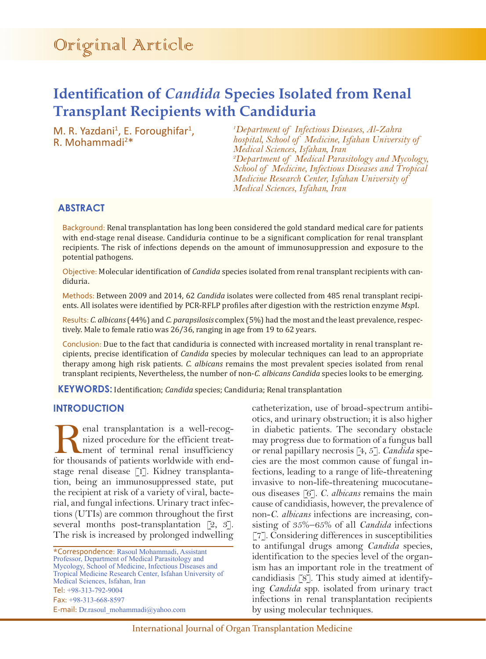# **Identification of** *Candida* **Species Isolated from Renal Transplant Recipients with Candiduria**

M. R. Yazdani<sup>1</sup>, E. Foroughifar<sup>1</sup>, R. Mohammadi<sup>2\*</sup>

*1 Department of Infectious Diseases, Al-Zahra hospital, School of Medicine, Isfahan University of Medical Sciences, Isfahan, Iran 2 Department of Medical Parasitology and Mycology, School of Medicine, Infectious Diseases and Tropical Medicine Research Center, Isfahan University of Medical Sciences, Isfahan, Iran*

# **ABSTRACT**

Background: Renal transplantation has long been considered the gold standard medical care for patients with end-stage renal disease. Candiduria continue to be a significant complication for renal transplant recipients. The risk of infections depends on the amount of immunosuppression and exposure to the potential pathogens.

Objective: Molecular identification of *Candida* species isolated from renal transplant recipients with candiduria.

Methods: Between 2009 and 2014, 62 *Candida* isolates were collected from 485 renal transplant recipients. All isolates were identified by PCR-RFLP profiles after digestion with the restriction enzyme *Msp*I.

Results: *C. albicans* (44%) and *C. parapsilosis* complex (5%) had the most and the least prevalence, respectively. Male to female ratio was 26/36, ranging in age from 19 to 62 years.

Conclusion: Due to the fact that candiduria is connected with increased mortality in renal transplant recipients, precise identification of *Candida* species by molecular techniques can lead to an appropriate therapy among high risk patients. *C. albicans* remains the most prevalent species isolated from renal transplant recipients, Nevertheless, the number of non-*C. albicans Candida* species looks to be emerging.

**KEYWORDS:** Identification; *Candida* species; Candiduria; Renal transplantation

## **INTRODUCTION**

enal transplantation is a well-recognized procedure for the efficient treatment of terminal renal insufficiency for thousands of patients worldwide with endstage renal disease [1]. Kidney transplantation, being an immunosuppressed state, put the recipient at risk of a variety of viral, bacterial, and fungal infections. Urinary tract infections (UTIs) are common throughout the first several months post-transplantation [2, 3]. The risk is increased by prolonged indwelling

\*Correspondence: Rasoul Mohammadi, Assistant Professor, Department of Medical Parasitology and Mycology, School of Medicine, Infectious Diseases and Tropical Medicine Research Center, Isfahan University of Medical Sciences, Isfahan, Iran Tel: +98-313-792-9004 Fax: +98-313-668-8597 E-mail: Dr.rasoul\_mohammadi@yahoo.com

catheterization, use of broad-spectrum antibiotics, and urinary obstruction; it is also higher in diabetic patients. The secondary obstacle may progress due to formation of a fungus ball or renal papillary necrosis [4, 5]. *Candida* species are the most common cause of fungal infections, leading to a range of life-threatening invasive to non-life-threatening mucocutaneous diseases [6]. *C. albicans* remains the main cause of candidiasis, however, the prevalence of non-*C*. *albicans* infections are increasing, consisting of 35%–65% of all *Candida* infections [7]. Considering differences in susceptibilities to antifungal drugs among *Candida* species, identification to the species level of the organism has an important role in the treatment of candidiasis [8]. This study aimed at identifying *Candida* spp. isolated from urinary tract infections in renal transplantation recipients by using molecular techniques.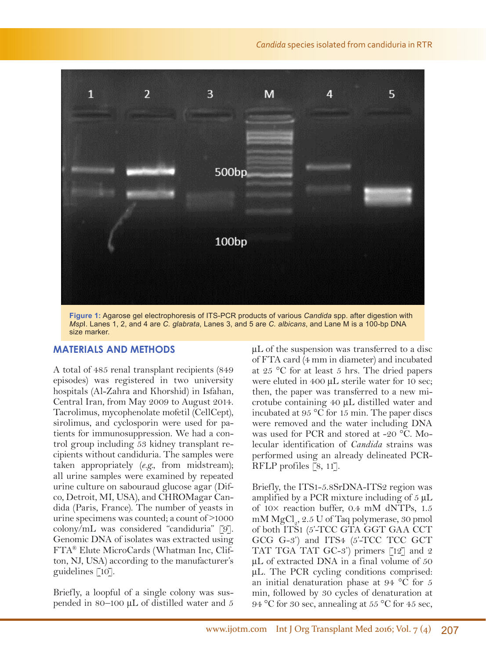

**Figure 1:** Agarose gel electrophoresis of ITS-PCR products of various *Candida* spp. after digestion with *Msp*I. Lanes 1, 2, and 4 are *C. glabrata*, Lanes 3, and 5 are *C. albicans*, and Lane M is a 100-bp DNA size marker.

## **MATERIALS AND METHODS**

A total of 485 renal transplant recipients (849 episodes) was registered in two university hospitals (Al-Zahra and Khorshid) in Isfahan, Central Iran, from May 2009 to August 2014. Tacrolimus, mycophenolate mofetil (CellCept), sirolimus, and cyclosporin were used for patients for immunosuppression. We had a control group including 53 kidney transplant recipients without candiduria. The samples were taken appropriately (*e.g.*, from midstream); all urine samples were examined by repeated urine culture on sabouraud glucose agar (Difco, Detroit, MI, USA), and CHROMagar Candida (Paris, France). The number of yeasts in urine specimens was counted; a count of  $>1000$ colony/mL was considered "candiduria" [9]. Genomic DNA of isolates was extracted using FTA® Elute MicroCards (Whatman Inc, Clifton, NJ, USA) according to the manufacturer's guidelines [10].

Briefly, a loopful of a single colony was suspended in 80–100  $\mu$ L of distilled water and 5 μL of the suspension was transferred to a disc of FTA card (4 mm in diameter) and incubated at 25 °C for at least 5 hrs. The dried papers were eluted in 400 μL sterile water for 10 sec; then, the paper was transferred to a new microtube containing 40 μL distilled water and incubated at 95 °C for 15 min. The paper discs were removed and the water including DNA was used for PCR and stored at -20 °C. Molecular identification of *Candida* strains was performed using an already delineated PCR-RFLP profiles [8, 11].

Briefly, the ITS1-5.8SrDNA-ITS2 region was amplified by a PCR mixture including of  $5 \mu L$ of 10× reaction buffer, 0.4 mM dNTPs, 1.5 mM  $MgCl<sub>2</sub>$ , 2.5 U of Taq polymerase, 30 pmol of both ITS1 (5'-TCC GTA GGT GAA CCT GCG G-3') and ITS4 (5'-TCC TCC GCT TAT TGA TAT GC-3') primers [12] and 2 μL of extracted DNA in a final volume of 50 μL. The PCR cycling conditions comprised: an initial denaturation phase at 94 °C for 5 min, followed by 30 cycles of denaturation at 94 °C for 30 sec, annealing at 55 °C for 45 sec,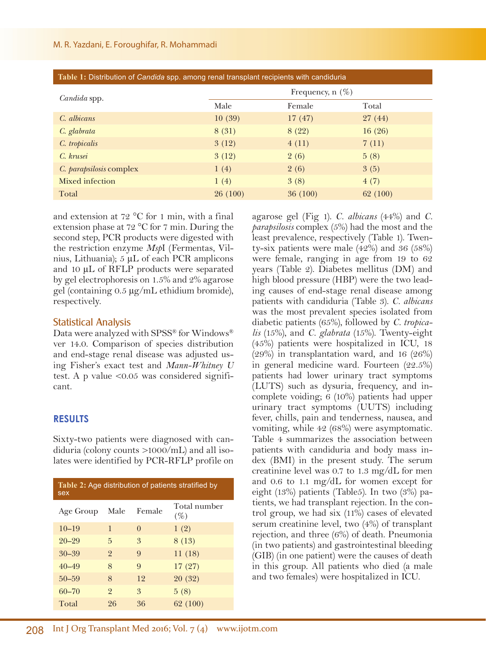| Table 1: Distribution of Candida spp. among renal transplant recipients with candiduria |                    |         |          |
|-----------------------------------------------------------------------------------------|--------------------|---------|----------|
| <i>Candida</i> spp.                                                                     | Frequency, $n(\%)$ |         |          |
|                                                                                         | Male               | Female  | Total    |
| C. albicans                                                                             | 10(39)             | 17(47)  | 27(44)   |
| C. glabrata                                                                             | 8(31)              | 8(22)   | 16(26)   |
| C. tropicalis                                                                           | 3(12)              | 4(11)   | 7(11)    |
| C. krusei                                                                               | 3(12)              | 2(6)    | 5(8)     |
| C. parapsilosis complex                                                                 | 1(4)               | 2(6)    | 3(5)     |
| Mixed infection                                                                         | 1(4)               | 3(8)    | 4(7)     |
| Total                                                                                   | 26(100)            | 36(100) | 62 (100) |

and extension at 72 °C for 1 min, with a final extension phase at 72 °C for 7 min. During the second step, PCR products were digested with the restriction enzyme *Msp*I (Fermentas, Vilnius, Lithuania); 5 μL of each PCR amplicons and 10 μL of RFLP products were separated by gel electrophoresis on 1.5% and 2% agarose gel (containing 0.5 μg/mL ethidium bromide), respectively.

# Statistical Analysis

Data were analyzed with SPSS® for Windows® ver 14.0. Comparison of species distribution and end-stage renal disease was adjusted using Fisher's exact test and *Mann-Whitney U*  test. A p value <0.05 was considered significant.

# **RESULTS**

Sixty-two patients were diagnosed with candiduria (colony counts >1000/mL) and all isolates were identified by PCR-RFLP profile on

| Table 2: Age distribution of patients stratified by<br>sex |                |          |                     |
|------------------------------------------------------------|----------------|----------|---------------------|
| Age Group                                                  | Male           | Female   | Total number<br>(%) |
| $10 - 19$                                                  | 1              | $\Omega$ | 1(2)                |
| $20 - 29$                                                  | 5              | 3        | 8(13)               |
| $30 - 39$                                                  | $\overline{2}$ | 9        | 11(18)              |
| $40 - 49$                                                  | 8              | 9        | 17(27)              |
| $50 - 59$                                                  | 8              | 12       | 20(32)              |
| $60 - 70$                                                  | $\overline{2}$ | 3        | 5(8)                |
| Total                                                      | 26             | 36       | 62 (100)            |

agarose gel (Fig 1). *C. albicans* (44%) and *C. parapsilosis* complex (5%) had the most and the least prevalence, respectively (Table 1). Twenty-six patients were male (42%) and 36 (58%) were female, ranging in age from 19 to 62 years (Table 2). Diabetes mellitus (DM) and high blood pressure (HBP) were the two leading causes of end-stage renal disease among patients with candiduria (Table 3). *C. albicans* was the most prevalent species isolated from diabetic patients (65%), followed by *C. tropicalis* (15%), and *C. glabrata* (15%). Twenty-eight (45%) patients were hospitalized in ICU, 18  $(29\%)$  in transplantation ward, and 16  $(26\%)$ in general medicine ward. Fourteen (22.5%) patients had lower urinary tract symptoms (LUTS) such as dysuria, frequency, and incomplete voiding; 6 (10%) patients had upper urinary tract symptoms (UUTS) including fever, chills, pain and tenderness, nausea, and vomiting, while 42 (68%) were asymptomatic. Table 4 summarizes the association between patients with candiduria and body mass index (BMI) in the present study. The serum creatinine level was 0.7 to 1.3 mg/dL for men and 0.6 to 1.1 mg/dL for women except for eight (13%) patients (Table5). In two (3%) patients, we had transplant rejection. In the control group, we had six (11%) cases of elevated serum creatinine level, two (4%) of transplant rejection, and three (6%) of death. Pneumonia (in two patients) and gastrointestinal bleeding (GIB) (in one patient) were the causes of death in this group. All patients who died (a male and two females) were hospitalized in ICU.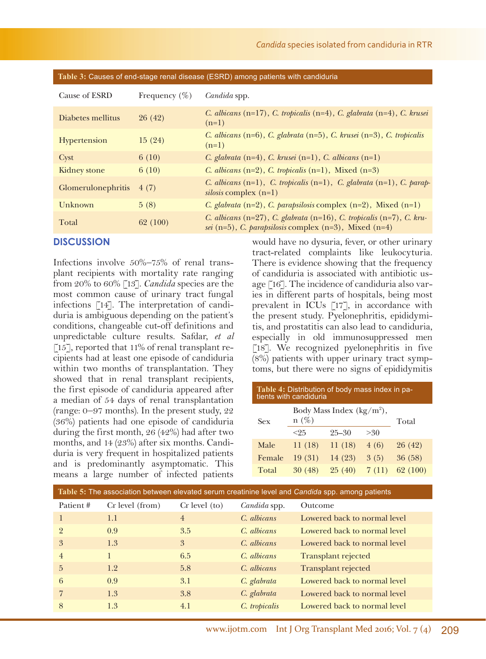| Cause of ESRD             | Frequency $(\% )$ | Candida spp.                                                                                                                                   |
|---------------------------|-------------------|------------------------------------------------------------------------------------------------------------------------------------------------|
| Diabetes mellitus         | 26(42)            | C. albicans $(n=17)$ , C. tropicalis $(n=4)$ , C. glabrata $(n=4)$ , C. krusei<br>$(n=1)$                                                      |
| <b>Hypertension</b>       | 15(24)            | C. albicans $(n=6)$ , C. glabrata $(n=5)$ , C. krusei $(n=3)$ , C. tropicalis<br>$(n=1)$                                                       |
| Cyst                      | 6(10)             | C. glabrata $(n=4)$ , C. krusei $(n=1)$ , C. albicans $(n=1)$                                                                                  |
| Kidney stone              | 6(10)             | C. albicans $(n=2)$ , C. tropicalis $(n=1)$ , Mixed $(n=3)$                                                                                    |
| <b>Glomerulonephritis</b> | 4(7)              | C. albicans $(n=1)$ , C. tropicalis $(n=1)$ , C. glabrata $(n=1)$ , C. parap-<br><i>silosis</i> complex $(n=1)$                                |
| Unknown                   | 5(8)              | C. glabrata $(n=2)$ , C. parapsilosis complex $(n=2)$ , Mixed $(n=1)$                                                                          |
| Total                     | 62 (100)          | C. albicans $(n=27)$ , C. glabrata $(n=16)$ , C. tropicalis $(n=7)$ , C. kru-<br>sei $(n=5)$ , C. parapsilosis complex $(n=3)$ , Mixed $(n=4)$ |

**Table 3:** Causes of end-stage renal disease (ESRD) among patients with candiduria

# **DISCUSSION**

Infections involve 50%–75% of renal transplant recipients with mortality rate ranging from 20% to 60% [13]. *Candida* species are the most common cause of urinary tract fungal infections [14]. The interpretation of candiduria is ambiguous depending on the patient's conditions, changeable cut-off definitions and unpredictable culture results. Safdar, *et al* [15], reported that 11% of renal transplant recipients had at least one episode of candiduria within two months of transplantation. They showed that in renal transplant recipients, the first episode of candiduria appeared after a median of 54 days of renal transplantation (range: 0–97 months). In the present study, 22 (36%) patients had one episode of candiduria during the first month, 26 (42%) had after two months, and 14 (23%) after six months. Candiduria is very frequent in hospitalized patients and is predominantly asymptomatic. This means a large number of infected patients

would have no dysuria, fever, or other urinary tract-related complaints like leukocyturia. There is evidence showing that the frequency of candiduria is associated with antibiotic usage [16]. The incidence of candiduria also varies in different parts of hospitals, being most prevalent in ICUs [17], in accordance with the present study. Pyelonephritis, epididymitis, and prostatitis can also lead to candiduria, especially in old immunosuppressed men  $\lceil 18 \rceil$ . We recognized pyelonephritis in five (8%) patients with upper urinary tract symptoms, but there were no signs of epididymitis

| Table 4: Distribution of body mass index in pa-<br>tients with candiduria |                                         |           |       |          |
|---------------------------------------------------------------------------|-----------------------------------------|-----------|-------|----------|
| Sex                                                                       | Body Mass Index $(kg/m^2)$ ,<br>$n(\%)$ |           |       | Total    |
|                                                                           | $<$ 25                                  | $25 - 30$ | >30   |          |
| Male                                                                      | 11(18)                                  | 11 (18)   | 4 (6) | 26(42)   |
| Female                                                                    | 19(31)                                  | 14 (23)   | 3(5)  | 36(58)   |
| Total                                                                     | 30(48)                                  | 25(40)    | 7(11) | 62 (100) |
|                                                                           |                                         |           |       |          |

| Table 5: The association between elevated serum creatinine level and Candida spp. among patients |                 |                   |               |                              |
|--------------------------------------------------------------------------------------------------|-----------------|-------------------|---------------|------------------------------|
| Patient#                                                                                         | Cr level (from) | $Cr$ level $(to)$ | Candida spp.  | Outcome                      |
|                                                                                                  | 1.1             | $\overline{4}$    | C. albicans   | Lowered back to normal level |
| $\overline{2}$                                                                                   | 0.9             | 3.5               | C. albicans   | Lowered back to normal level |
| 3                                                                                                | 1.3             | 3                 | C. albicans   | Lowered back to normal level |
| $\overline{4}$                                                                                   |                 | 6.5               | C. albicans   | <b>Transplant rejected</b>   |
| $\overline{5}$                                                                                   | 1.2             | 5.8               | C. albicans   | <b>Transplant rejected</b>   |
| 6                                                                                                | 0.9             | 3.1               | C. glabrata   | Lowered back to normal level |
| 7                                                                                                | 1.3             | 3.8               | C. glabrata   | Lowered back to normal level |
| 8                                                                                                | 1.3             | 4.1               | C. tropicalis | Lowered back to normal level |
|                                                                                                  |                 |                   |               |                              |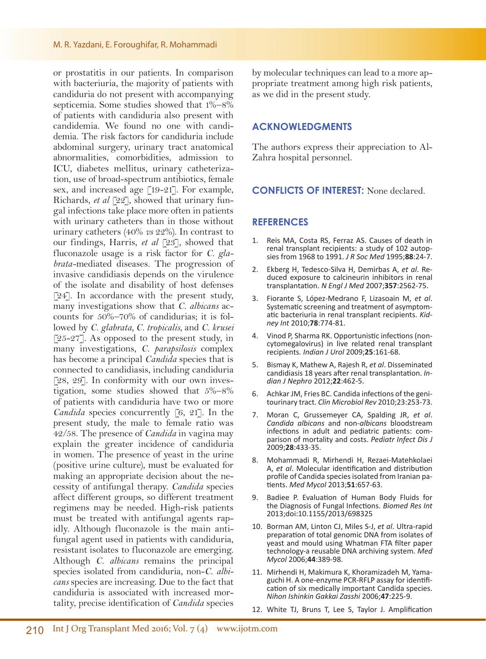#### M. R. Yazdani, E. Foroughifar, R. Mohammadi

or prostatitis in our patients. In comparison with bacteriuria, the majority of patients with candiduria do not present with accompanying septicemia. Some studies showed that 1%–8% of patients with candiduria also present with candidemia. We found no one with candidemia. The risk factors for candiduria include abdominal surgery, urinary tract anatomical abnormalities, comorbidities, admission to ICU, diabetes mellitus, urinary catheterization, use of broad-spectrum antibiotics, female sex, and increased age [19-21]. For example, Richards, *et al* [22], showed that urinary fungal infections take place more often in patients with urinary catheters than in those without urinary catheters (40% *vs* 22%). In contrast to our findings, Harris, *et al* [23], showed that fluconazole usage is a risk factor for *C. glabrata-*mediated diseases. The progression of invasive candidiasis depends on the virulence of the isolate and disability of host defenses [24]. In accordance with the present study, many investigations show that *C. albicans* accounts for 50%–70% of candidurias; it is followed by *C. glabrata, C. tropicalis,* and *C. krusei*  $[25-27]$ . As opposed to the present study, in many investigations, *C. parapsilosis* complex has become a principal *Candida* species that is connected to candidiasis, including candiduria [28, 29]. In conformity with our own investigation, some studies showed that 5%–8% of patients with candiduria have two or more *Candida* species concurrently [6, 21]. In the present study, the male to female ratio was 42/58. The presence of *Candida* in vagina may explain the greater incidence of candiduria in women. The presence of yeast in the urine (positive urine culture), must be evaluated for making an appropriate decision about the necessity of antifungal therapy. *Candida* species affect different groups, so different treatment regimens may be needed. High-risk patients must be treated with antifungal agents rapidly. Although fluconazole is the main antifungal agent used in patients with candiduria, resistant isolates to fluconazole are emerging. Although *C. albicans* remains the principal species isolated from candiduria, non-*C*. *albicans* species are increasing. Due to the fact that candiduria is associated with increased mortality, precise identification of *Candida* species

by molecular techniques can lead to a more appropriate treatment among high risk patients, as we did in the present study.

## **ACKNOWLEDGMENTS**

The authors express their appreciation to Al-Zahra hospital personnel.

#### **CONFLICTS OF INTEREST:** None declared.

#### **REFERENCES**

- 1. Reis MA, Costa RS, Ferraz AS. Causes of death in renal transplant recipients: a study of 102 autopsies from 1968 to 1991. *J R Soc Med* 1995;**88**:24-7.
- 2. Ekberg H, Tedesco-Silva H, Demirbas A, *et al*. Reduced exposure to calcineurin inhibitors in renal transplantation. *N Engl J Med* 2007;**357**:2562-75.
- 3. Fiorante S, López-Medrano F, Lizasoain M, *et al*. Systematic screening and treatment of asymptomatic bacteriuria in renal transplant recipients. *Kidney Int* 2010;**78**:774-81.
- 4. Vinod P, Sharma RK. Opportunistic infections (noncytomegalovirus) in live related renal transplant recipients*. Indian J Urol* 2009;**25**:161-68.
- 5. Bismay K, Mathew A, Rajesh R, *et al*. Disseminated candidiasis 18 years after renal transplantation. *Indian J Nephro* 2012;**22**:462-5.
- 6. Achkar JM, Fries BC. Candida infections of the genitourinary tract. *Clin Microbiol Rev* 2010;23:253-73.
- 7. Moran C, Grussemeyer CA, Spalding JR, *et al*. *Candida albicans* and non-*albicans* bloodstream parison of mortality and costs. Pediatr Infect Dis J 2009;**28**:433-35.
- 8. Mohammadi R, Mirhendi H, Rezaei-Matehkolaei A, *et al*. Molecular identification and distribution profile of Candida species isolated from Iranian patients. *Med Mycol* 2013;**51**:657-63.
- 9. Badiee P. Evaluation of Human Body Fluids for the Diagnosis of Fungal Infections. *Biomed Res Int* 2013;doi:10.1155/2013/698325
- 10. Borman AM, Linton CJ, Miles S-J, *et al*. Ultra-rapid preparation of total genomic DNA from isolates of yeast and mould using Whatman FTA filter paper technology-a reusable DNA archiving system. *Med Mycol* 2006;**44**:389-98.
- 11. Mirhendi H, Makimura K, Khoramizadeh M, Yamaguchi H. A one-enzyme PCR-RFLP assay for identification of six medically important Candida species. *Nihon Ishinkin Gakkai Zasshi* 2006;**47**:225-9.
- 12. White TJ, Bruns T, Lee S, Taylor J. Amplification